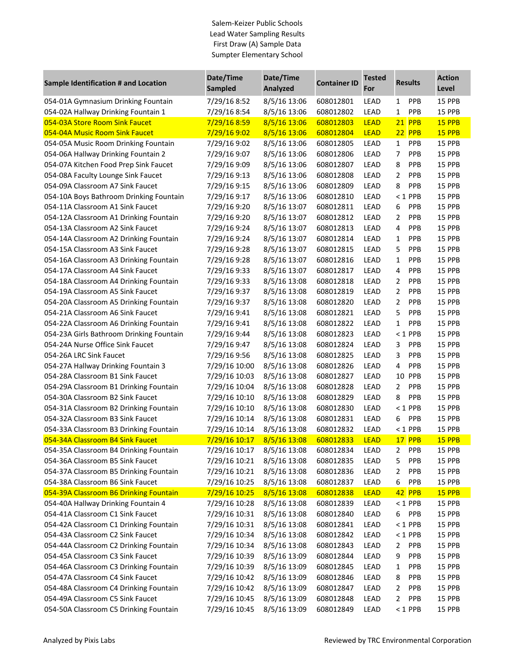## Salem-Keizer Public Schools Lead Water Sampling Results First Draw (A) Sample Data Sumpter Elementary School

| Sample Identification # and Location     | Date/Time<br><b>Sampled</b> | Date/Time<br><b>Analyzed</b> | <b>Container ID</b> | <b>Tested</b><br>For | <b>Results</b>             | <b>Action</b><br>Level |
|------------------------------------------|-----------------------------|------------------------------|---------------------|----------------------|----------------------------|------------------------|
| 054-01A Gymnasium Drinking Fountain      | 7/29/16 8:52                | 8/5/16 13:06                 | 608012801           | LEAD                 | PPB<br>1                   | 15 PPB                 |
| 054-02A Hallway Drinking Fountain 1      | 7/29/16 8:54                | 8/5/16 13:06                 | 608012802           | <b>LEAD</b>          | PPB<br>1                   | 15 PPB                 |
| 054-03A Store Room Sink Faucet           | 7/29/16 8:59                | 8/5/16 13:06                 | 608012803           | <b>LEAD</b>          | <b>21 PPB</b>              | 15 PPB                 |
| 054-04A Music Room Sink Faucet           | 7/29/16 9:02                | 8/5/16 13:06                 | 608012804           | <b>LEAD</b>          | 22 PPB                     | 15 PPB                 |
| 054-05A Music Room Drinking Fountain     | 7/29/16 9:02                | 8/5/16 13:06                 | 608012805           | <b>LEAD</b>          | $\mathbf{1}$<br>PPB        | 15 PPB                 |
| 054-06A Hallway Drinking Fountain 2      | 7/29/16 9:07                | 8/5/16 13:06                 | 608012806           | LEAD                 | 7<br>PPB                   | 15 PPB                 |
| 054-07A Kitchen Food Prep Sink Faucet    | 7/29/16 9:09                | 8/5/16 13:06                 | 608012807           | <b>LEAD</b>          | PPB<br>8                   | 15 PPB                 |
| 054-08A Faculty Lounge Sink Faucet       | 7/29/16 9:13                | 8/5/16 13:06                 | 608012808           | LEAD                 | PPB<br>$\overline{2}$      | 15 PPB                 |
| 054-09A Classroom A7 Sink Faucet         | 7/29/16 9:15                | 8/5/16 13:06                 | 608012809           | <b>LEAD</b>          | PPB<br>8                   | 15 PPB                 |
| 054-10A Boys Bathroom Drinking Fountain  | 7/29/16 9:17                | 8/5/16 13:06                 | 608012810           | LEAD                 | $< 1$ PPB                  | 15 PPB                 |
| 054-11A Classroom A1 Sink Faucet         | 7/29/16 9:20                | 8/5/16 13:07                 | 608012811           | LEAD                 | 6<br>PPB                   | 15 PPB                 |
| 054-12A Classroom A1 Drinking Fountain   | 7/29/16 9:20                | 8/5/16 13:07                 | 608012812           | LEAD                 | PPB<br>$\overline{2}$      | 15 PPB                 |
| 054-13A Classroom A2 Sink Faucet         | 7/29/16 9:24                | 8/5/16 13:07                 | 608012813           | LEAD                 | PPB<br>4                   | 15 PPB                 |
| 054-14A Classroom A2 Drinking Fountain   | 7/29/16 9:24                | 8/5/16 13:07                 | 608012814           | LEAD                 | PPB<br>1                   | 15 PPB                 |
| 054-15A Classroom A3 Sink Faucet         | 7/29/16 9:28                | 8/5/16 13:07                 | 608012815           | LEAD                 | 5<br>PPB                   | 15 PPB                 |
| 054-16A Classroom A3 Drinking Fountain   | 7/29/16 9:28                | 8/5/16 13:07                 | 608012816           | LEAD                 | $\mathbf{1}$<br>PPB        | 15 PPB                 |
| 054-17A Classroom A4 Sink Faucet         | 7/29/16 9:33                | 8/5/16 13:07                 | 608012817           | LEAD                 | PPB<br>4                   | 15 PPB                 |
| 054-18A Classroom A4 Drinking Fountain   | 7/29/16 9:33                | 8/5/16 13:08                 | 608012818           | LEAD                 | PPB<br>2                   | 15 PPB                 |
| 054-19A Classroom A5 Sink Faucet         | 7/29/16 9:37                | 8/5/16 13:08                 | 608012819           | LEAD                 | $\overline{2}$<br>PPB      | 15 PPB                 |
| 054-20A Classroom A5 Drinking Fountain   | 7/29/16 9:37                | 8/5/16 13:08                 | 608012820           | LEAD                 | $\overline{2}$<br>PPB      | 15 PPB                 |
| 054-21A Classroom A6 Sink Faucet         | 7/29/16 9:41                | 8/5/16 13:08                 | 608012821           | LEAD                 | 5<br>PPB                   | 15 PPB                 |
| 054-22A Classroom A6 Drinking Fountain   | 7/29/16 9:41                | 8/5/16 13:08                 | 608012822           | LEAD                 | PPB<br>$\mathbf{1}$        | 15 PPB                 |
| 054-23A Girls Bathroom Drinking Fountain | 7/29/16 9:44                | 8/5/16 13:08                 | 608012823           | LEAD                 | $<$ 1 PPB                  | 15 PPB                 |
| 054-24A Nurse Office Sink Faucet         | 7/29/16 9:47                | 8/5/16 13:08                 | 608012824           | <b>LEAD</b>          | PPB<br>3                   | 15 PPB                 |
| 054-26A LRC Sink Faucet                  | 7/29/16 9:56                | 8/5/16 13:08                 | 608012825           | <b>LEAD</b>          | 3<br>PPB                   | 15 PPB                 |
| 054-27A Hallway Drinking Fountain 3      | 7/29/16 10:00               | 8/5/16 13:08                 | 608012826           | LEAD                 | 4<br>PPB                   | 15 PPB                 |
| 054-28A Classroom B1 Sink Faucet         | 7/29/16 10:03               | 8/5/16 13:08                 | 608012827           | LEAD                 | 10 PPB                     | 15 PPB                 |
| 054-29A Classroom B1 Drinking Fountain   | 7/29/16 10:04               | 8/5/16 13:08                 | 608012828           | LEAD                 | $\overline{2}$<br>PPB      | 15 PPB                 |
| 054-30A Classroom B2 Sink Faucet         | 7/29/16 10:10               | 8/5/16 13:08                 | 608012829           | <b>LEAD</b>          | PPB<br>8                   | 15 PPB                 |
| 054-31A Classroom B2 Drinking Fountain   | 7/29/16 10:10               | 8/5/16 13:08                 | 608012830           | <b>LEAD</b>          | $< 1$ PPB                  | 15 PPB                 |
| 054-32A Classroom B3 Sink Faucet         | 7/29/16 10:14               | 8/5/16 13:08                 | 608012831           | LEAD                 | <b>PPB</b><br>6            | 15 PPB                 |
| 054-33A Classroom B3 Drinking Fountain   | 7/29/16 10:14               | 8/5/16 13:08                 | 608012832           | <b>LEAD</b>          | $< 1$ PPB                  | 15 PPB                 |
| 054-34A Classroom B4 Sink Faucet         | 7/29/16 10:17               | 8/5/16 13:08                 | 608012833           | <b>LEAD</b>          | 17 PPB                     | 15 PPB                 |
| 054-35A Classroom B4 Drinking Fountain   | 7/29/16 10:17               | 8/5/16 13:08                 | 608012834           | LEAD                 | 2<br><b>PPB</b>            | 15 PPB                 |
| 054-36A Classroom B5 Sink Faucet         | 7/29/16 10:21               | 8/5/16 13:08                 | 608012835           | LEAD                 | 5<br><b>PPB</b>            | 15 PPB                 |
| 054-37A Classroom B5 Drinking Fountain   | 7/29/16 10:21               | 8/5/16 13:08                 | 608012836           | LEAD                 | 2<br><b>PPB</b>            | 15 PPB                 |
| 054-38A Classroom B6 Sink Faucet         | 7/29/16 10:25               | 8/5/16 13:08                 | 608012837           | LEAD                 | 6<br><b>PPB</b>            | 15 PPB                 |
| 054-39A Classroom B6 Drinking Fountain   | 7/29/16 10:25               | 8/5/16 13:08                 | 608012838           | <b>LEAD</b>          | 42 PPB                     | <b>15 PPB</b>          |
| 054-40A Hallway Drinking Fountain 4      | 7/29/16 10:28               | 8/5/16 13:08                 | 608012839           | LEAD                 | $<$ 1 PPB                  | 15 PPB                 |
| 054-41A Classroom C1 Sink Faucet         | 7/29/16 10:31               | 8/5/16 13:08                 | 608012840           | LEAD                 | 6 PPB                      | 15 PPB                 |
| 054-42A Classroom C1 Drinking Fountain   | 7/29/16 10:31               | 8/5/16 13:08                 | 608012841           | LEAD                 | $< 1$ PPB                  | 15 PPB                 |
| 054-43A Classroom C2 Sink Faucet         | 7/29/16 10:34               | 8/5/16 13:08                 | 608012842           | LEAD                 | $<$ 1 PPB                  | 15 PPB                 |
| 054-44A Classroom C2 Drinking Fountain   | 7/29/16 10:34               | 8/5/16 13:08                 | 608012843           | LEAD                 | <b>PPB</b><br>2            | 15 PPB                 |
| 054-45A Classroom C3 Sink Faucet         | 7/29/16 10:39               | 8/5/16 13:09                 | 608012844           | LEAD                 | <b>PPB</b><br>9            | 15 PPB                 |
| 054-46A Classroom C3 Drinking Fountain   | 7/29/16 10:39               | 8/5/16 13:09                 | 608012845           | LEAD                 | <b>PPB</b><br>$\mathbf{1}$ | 15 PPB                 |
| 054-47A Classroom C4 Sink Faucet         | 7/29/16 10:42               | 8/5/16 13:09                 | 608012846           | LEAD                 | <b>PPB</b><br>8            | 15 PPB                 |
| 054-48A Classroom C4 Drinking Fountain   | 7/29/16 10:42               | 8/5/16 13:09                 | 608012847           | LEAD                 | 2<br><b>PPB</b>            | 15 PPB                 |
| 054-49A Classroom C5 Sink Faucet         | 7/29/16 10:45               | 8/5/16 13:09                 | 608012848           | LEAD                 | 2<br><b>PPB</b>            | 15 PPB                 |
| 054-50A Classroom C5 Drinking Fountain   | 7/29/16 10:45               | 8/5/16 13:09                 | 608012849           | LEAD                 | $< 1$ PPB                  | 15 PPB                 |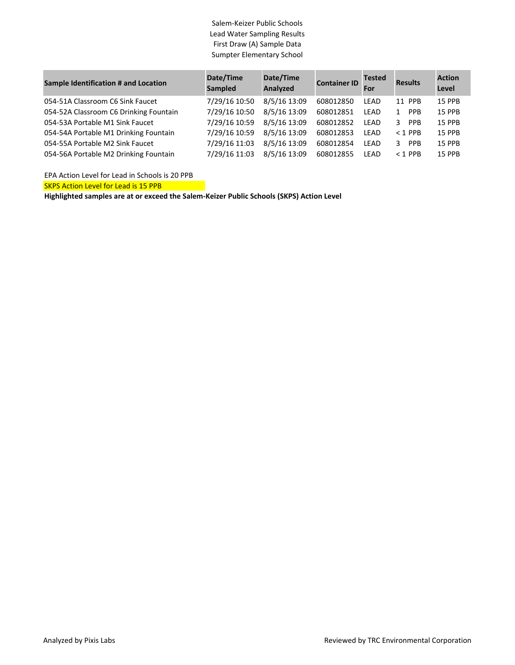## Salem-Keizer Public Schools Lead Water Sampling Results First Draw (A) Sample Data Sumpter Elementary School

| <b>Sample Identification # and Location</b> | Date/Time<br><b>Sampled</b> | Date/Time<br>Analyzed | <b>Container ID</b> | <b>Tested</b><br>For | <b>Results</b>             | <b>Action</b><br>Level |
|---------------------------------------------|-----------------------------|-----------------------|---------------------|----------------------|----------------------------|------------------------|
| 054-51A Classroom C6 Sink Faucet            | 7/29/16 10:50               | 8/5/16 13:09          | 608012850           | LEAD                 | 11 PPB                     | <b>15 PPB</b>          |
| 054-52A Classroom C6 Drinking Fountain      | 7/29/16 10:50               | 8/5/16 13:09          | 608012851           | LEAD                 | <b>PPB</b><br>$\mathbf{1}$ | 15 PPB                 |
| 054-53A Portable M1 Sink Faucet             | 7/29/16 10:59               | 8/5/16 13:09          | 608012852           | LEAD                 | 3 PPB                      | <b>15 PPB</b>          |
| 054-54A Portable M1 Drinking Fountain       | 7/29/16 10:59               | 8/5/16 13:09          | 608012853           | LEAD                 | $<$ 1 PPB                  | <b>15 PPB</b>          |
| 054-55A Portable M2 Sink Faucet             | 7/29/16 11:03               | 8/5/16 13:09          | 608012854           | LEAD                 | <b>PPB</b><br>२            | <b>15 PPB</b>          |
| 054-56A Portable M2 Drinking Fountain       | 7/29/16 11:03               | 8/5/16 13:09          | 608012855           | LEAD                 | $<$ 1 PPB                  | <b>15 PPB</b>          |

EPA Action Level for Lead in Schools is 20 PPB

SKPS Action Level for Lead is 15 PPB

**Highlighted samples are at or exceed the Salem-Keizer Public Schools (SKPS) Action Level**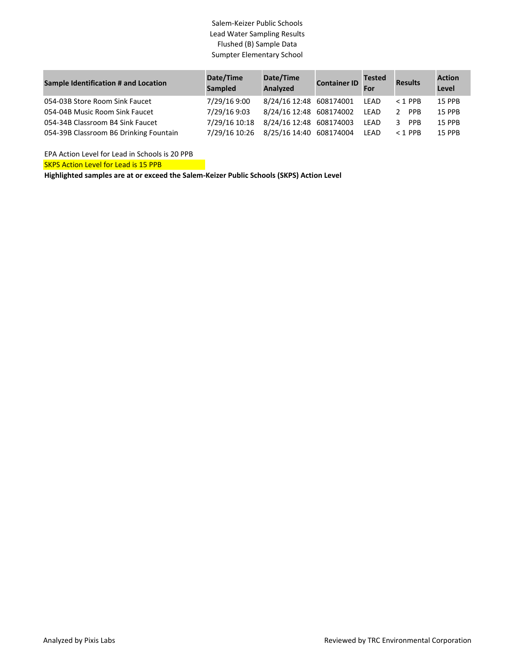## Salem-Keizer Public Schools Lead Water Sampling Results Flushed (B) Sample Data Sumpter Elementary School

| <b>Sample Identification # and Location</b> | Date/Time<br>Sampled | Date/Time<br>Analyzed   | <b>Container ID</b> For | <b>Tested</b> | <b>Results</b> | <b>Action</b><br>Level |
|---------------------------------------------|----------------------|-------------------------|-------------------------|---------------|----------------|------------------------|
| 054-03B Store Room Sink Faucet              | 7/29/16 9:00         | 8/24/16 12:48 608174001 |                         | LEAD          | $<$ 1 PPB      | <b>15 PPB</b>          |
| 054-04B Music Room Sink Faucet              | 7/29/16 9:03         | 8/24/16 12:48 608174002 |                         | LEAD          | 2 PPR          | <b>15 PPB</b>          |
| 054-34B Classroom B4 Sink Faucet            | 7/29/16 10:18        | 8/24/16 12:48 608174003 |                         | LEAD          | 3 PPR          | <b>15 PPB</b>          |
| 054-39B Classroom B6 Drinking Fountain      | 7/29/16 10:26        | 8/25/16 14:40 608174004 |                         | <b>LEAD</b>   | $<$ 1 PPB      | <b>15 PPB</b>          |

EPA Action Level for Lead in Schools is 20 PPB

**SKPS Action Level for Lead is 15 PPB** 

**Highlighted samples are at or exceed the Salem-Keizer Public Schools (SKPS) Action Level**